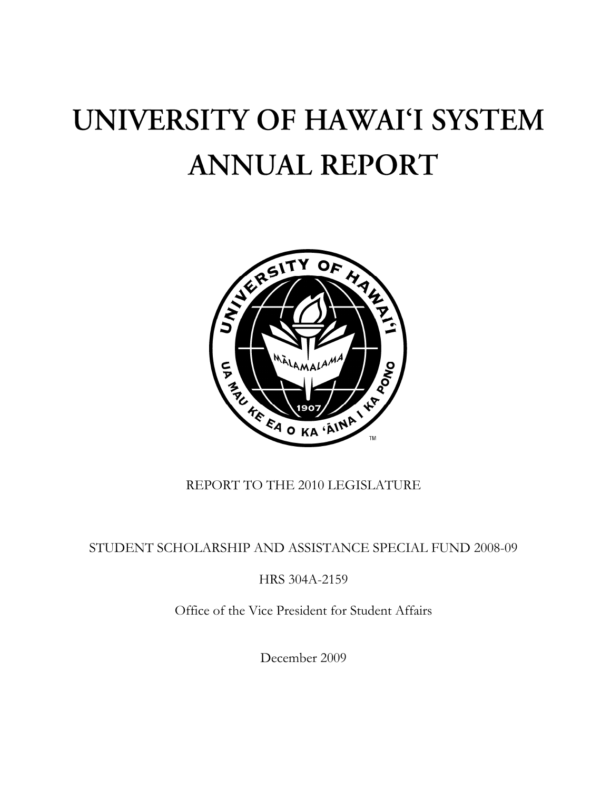## UNIVERSITY OF HAWAI'I SYSTEM **ANNUAL REPORT**



## REPORT TO THE 2010 LEGISLATURE

STUDENT SCHOLARSHIP AND ASSISTANCE SPECIAL FUND 2008-09

HRS 304A-2159

Office of the Vice President for Student Affairs

December 2009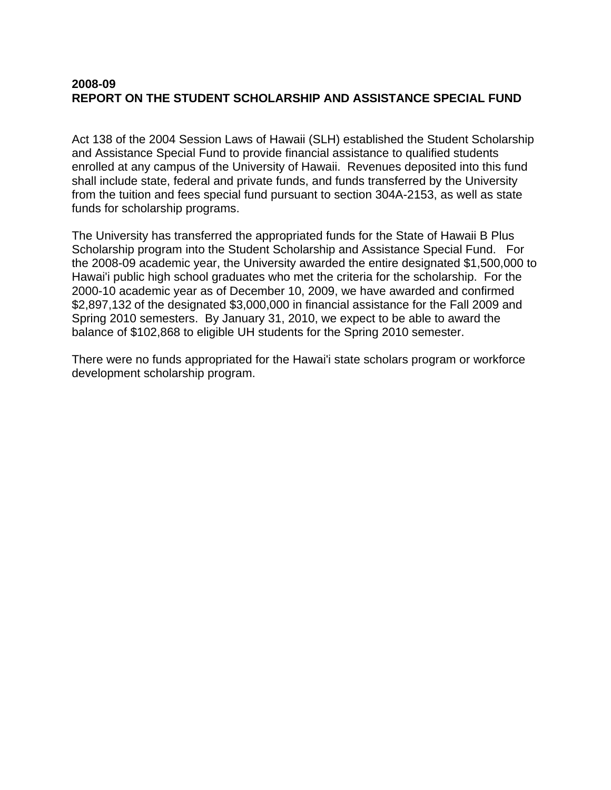## **2008-09 REPORT ON THE STUDENT SCHOLARSHIP AND ASSISTANCE SPECIAL FUND**

Act 138 of the 2004 Session Laws of Hawaii (SLH) established the Student Scholarship and Assistance Special Fund to provide financial assistance to qualified students enrolled at any campus of the University of Hawaii. Revenues deposited into this fund shall include state, federal and private funds, and funds transferred by the University from the tuition and fees special fund pursuant to section 304A-2153, as well as state funds for scholarship programs.

The University has transferred the appropriated funds for the State of Hawaii B Plus Scholarship program into the Student Scholarship and Assistance Special Fund. For the 2008-09 academic year, the University awarded the entire designated \$1,500,000 to Hawai'i public high school graduates who met the criteria for the scholarship. For the 2000-10 academic year as of December 10, 2009, we have awarded and confirmed \$2,897,132 of the designated \$3,000,000 in financial assistance for the Fall 2009 and Spring 2010 semesters. By January 31, 2010, we expect to be able to award the balance of \$102,868 to eligible UH students for the Spring 2010 semester.

There were no funds appropriated for the Hawai'i state scholars program or workforce development scholarship program.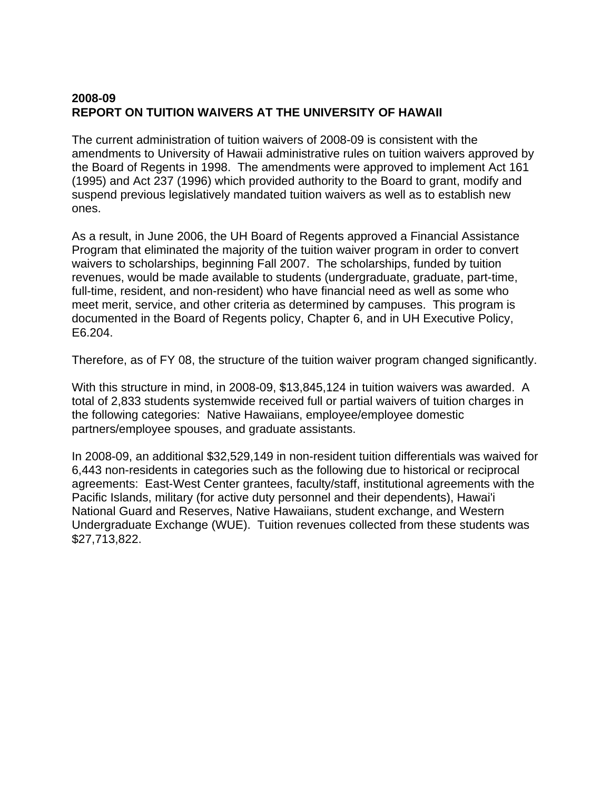## **2008-09 REPORT ON TUITION WAIVERS AT THE UNIVERSITY OF HAWAII**

The current administration of tuition waivers of 2008-09 is consistent with the amendments to University of Hawaii administrative rules on tuition waivers approved by the Board of Regents in 1998. The amendments were approved to implement Act 161 (1995) and Act 237 (1996) which provided authority to the Board to grant, modify and suspend previous legislatively mandated tuition waivers as well as to establish new ones.

As a result, in June 2006, the UH Board of Regents approved a Financial Assistance Program that eliminated the majority of the tuition waiver program in order to convert waivers to scholarships, beginning Fall 2007. The scholarships, funded by tuition revenues, would be made available to students (undergraduate, graduate, part-time, full-time, resident, and non-resident) who have financial need as well as some who meet merit, service, and other criteria as determined by campuses. This program is documented in the Board of Regents policy, Chapter 6, and in UH Executive Policy, E6.204.

Therefore, as of FY 08, the structure of the tuition waiver program changed significantly.

With this structure in mind, in 2008-09, \$13,845,124 in tuition waivers was awarded. A total of 2,833 students systemwide received full or partial waivers of tuition charges in the following categories: Native Hawaiians, employee/employee domestic partners/employee spouses, and graduate assistants.

In 2008-09, an additional \$32,529,149 in non-resident tuition differentials was waived for 6,443 non-residents in categories such as the following due to historical or reciprocal agreements: East-West Center grantees, faculty/staff, institutional agreements with the Pacific Islands, military (for active duty personnel and their dependents), Hawai'i National Guard and Reserves, Native Hawaiians, student exchange, and Western Undergraduate Exchange (WUE). Tuition revenues collected from these students was \$27,713,822.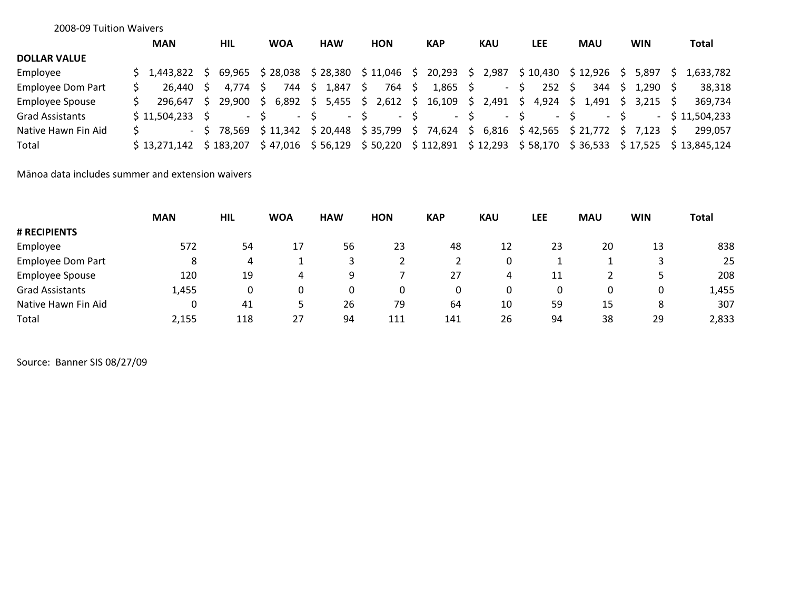|   | <b>MAN</b> |                         | HIL                   |                                                                    |             |            |                                                 |                                                                    |      |                                                | <b>KAP</b>                                       |           | <b>KAU</b> |                                    | <b>LEE</b> |                                    |                                    |                                                                                   |       |                                                | Total                                                    |
|---|------------|-------------------------|-----------------------|--------------------------------------------------------------------|-------------|------------|-------------------------------------------------|--------------------------------------------------------------------|------|------------------------------------------------|--------------------------------------------------|-----------|------------|------------------------------------|------------|------------------------------------|------------------------------------|-----------------------------------------------------------------------------------|-------|------------------------------------------------|----------------------------------------------------------|
|   |            |                         |                       |                                                                    |             |            |                                                 |                                                                    |      |                                                |                                                  |           |            |                                    |            |                                    |                                    |                                                                                   |       |                                                |                                                          |
|   |            |                         |                       |                                                                    |             |            |                                                 |                                                                    |      |                                                | 20,293                                           | S.        | 2,987      |                                    |            |                                    |                                    |                                                                                   | 5.897 |                                                | 1,633,782                                                |
|   |            |                         | 4.774                 |                                                                    | 744         |            | 1,847                                           | S.                                                                 | 764  | -Ŝ                                             | 1,865                                            |           |            |                                    |            |                                    | 344                                |                                                                                   |       |                                                | 38,318                                                   |
| S | 296.647    |                         | 29.900                |                                                                    |             |            |                                                 |                                                                    |      |                                                | 16,109                                           |           |            |                                    |            |                                    |                                    |                                                                                   |       |                                                | 369,734                                                  |
|   |            |                         |                       |                                                                    |             |            |                                                 |                                                                    |      |                                                |                                                  |           |            |                                    |            |                                    |                                    |                                                                                   |       |                                                | $-$ \$ 11.504.233                                        |
|   |            |                         |                       |                                                                    |             |            |                                                 |                                                                    |      |                                                | 74,624                                           |           |            |                                    |            |                                    |                                    |                                                                                   |       |                                                | 299.057                                                  |
|   |            |                         |                       |                                                                    |             |            |                                                 |                                                                    |      |                                                |                                                  |           |            |                                    |            |                                    |                                    |                                                                                   |       |                                                |                                                          |
|   |            | 2008-09 Tuition Waivers | S.<br>$$11.504.233$ S | S 1.443.822 S<br>26.440 S<br>$-5$ 78.569<br>\$13.271.142 \$183.207 | - S<br>$-S$ | <b>WOA</b> | 69,965 \$28,038<br>$-S$<br>\$11,342<br>\$47,016 | <b>HAW</b><br>\$28,380<br>$^{\prime}$ \$ .<br>\$20,448<br>\$56,129 | $-S$ | <b>HON</b><br>\$11,046<br>\$35,799<br>\$50,220 | - S<br>6,892 \$ 5,455 \$ 2,612 \$<br>$-S$<br>- S | \$112,891 |            | S.<br>S.<br>$-S$<br>S.<br>\$12,293 | $\sim$     | \$10,430<br>S.<br>2,491 \$<br>$-5$ | $252 \quad $$<br>$-5$<br>\$ 58,170 | <b>MAU</b><br>\$12,926<br>4,924 \$ 1,491<br>$6,816$ \$42,565 \$21,772<br>\$36,533 |       | <b>WIN</b><br>S.<br>S.<br>$-5$<br>$5 \t 7.123$ | \$1,290\$<br>$3.215$ S<br>- S<br>$$17,525$ $$13,845,124$ |

Mānoa data includes summer and extension waivers

|                          | <b>MAN</b> | <b>HIL</b> | <b>WOA</b> | <b>HAW</b> | <b>HON</b> | <b>KAP</b> | <b>KAU</b> | <b>LEE</b> | <b>MAU</b> | <b>WIN</b> | <b>Total</b> |
|--------------------------|------------|------------|------------|------------|------------|------------|------------|------------|------------|------------|--------------|
| # RECIPIENTS             |            |            |            |            |            |            |            |            |            |            |              |
| Employee                 | 572        | 54         | 17         | 56         | 23         | 48         | 12         | 23         | 20         | 13         | 838          |
| <b>Employee Dom Part</b> | 8          | 4          |            |            |            |            | 0          |            |            |            | 25           |
| <b>Employee Spouse</b>   | 120        | 19         | 4          |            |            | 27         | 4          | 11         |            |            | 208          |
| <b>Grad Assistants</b>   | 1,455      |            |            |            |            |            | 0          |            |            |            | 1,455        |
| Native Hawn Fin Aid      | 0          | 41         |            | 26         | 79         | 64         | 10         | 59         | 15         | 8          | 307          |
| Total                    | 2,155      | 118        | 27         | 94         | 111        | 141        | 26         | 94         | 38         | 29         | 2,833        |

Source: Banner SIS 08/27/09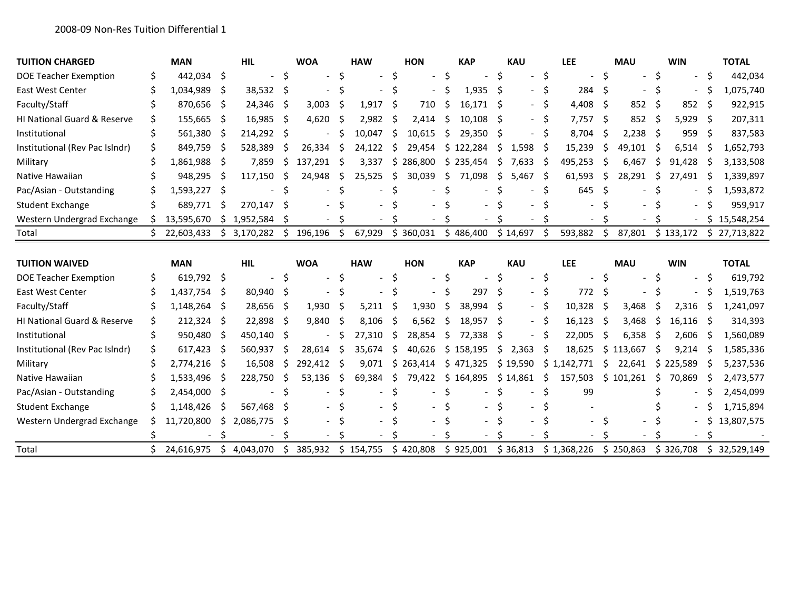| <b>TUITION CHARGED</b>         |   | <b>MAN</b>   |      | <b>HIL</b> |         | <b>WOA</b> |          | <b>HAW</b> |              | <b>HON</b> |              | <b>KAP</b> |    | <b>KAU</b> |    | <b>LEE</b> |    | <b>MAU</b> |     | <b>WIN</b> |    | <b>TOTAL</b> |
|--------------------------------|---|--------------|------|------------|---------|------------|----------|------------|--------------|------------|--------------|------------|----|------------|----|------------|----|------------|-----|------------|----|--------------|
| DOE Teacher Exemption          |   | 442,034 \$   |      |            | -S      |            |          |            |              |            |              |            |    |            |    |            |    |            |     |            |    | 442,034      |
| <b>East West Center</b>        |   | 1,034,989    | .S   | 38,532 \$  |         |            |          |            |              |            |              | 1,935      | Ŝ. |            |    | 284        |    |            |     |            |    | 1,075,740    |
| Faculty/Staff                  |   | 870,656      | - S  | 24,346     | -S      | 3,003      |          | 1,917      | S            | 710        |              | 16.171     | S  |            | S  | 4,408      |    | 852        | -S  | 852        | -S | 922,915      |
| HI National Guard & Reserve    |   | 155,665      | -S   | 16,985     | -Ś      | 4,620      |          | 2,982      | <sub>S</sub> | 2.414      | S            | 10,108     | Ŝ. |            | S  | 7,757      | S  | 852        | -S  | 5,929      | -S | 207,311      |
| Institutional                  |   | 561,380      | -S   | 214,292 \$ |         |            |          | 10,047     | Ŝ.           | 10,615     | S            | 29,350     |    |            |    | 8,704      |    | 2,238      | - S | 959        | -S | 837,583      |
| Institutional (Rev Pac Islndr) |   | 849,759      | -\$  | 528,389    | S       | 26,334     |          | 24,122     | S.           | 29.454     |              | \$122,284  | S  | 1,598      | -S | 15,239     |    | 49,101     | -S  | 6,514      | S  | 1,652,793    |
| Military                       |   | 1,861,988    | -S   | 7,859      | S       | 137,291    | S        | 3,337      | S            | 286,800    | S.           | 235,454    | S  | 7,633      | -S | 495,253    |    | 6,467      | S   | 91,428     | -S | 3,133,508    |
| Native Hawaiian                |   | 948,295      | -S   | 117,150    | S       | 24,948     |          | 25,525     | Ŝ.           | 30,039     | S            | 71,098     | Ś  | 5,467      | -S | 61,593     | S  | 28,291     | Ś   | 27,491     | -S | 1,339,897    |
| Pac/Asian - Outstanding        |   | 1,593,227    | - \$ |            |         |            |          |            |              |            |              |            |    |            | S  | 645        |    |            |     |            | -S | 1,593,872    |
| <b>Student Exchange</b>        |   | 689,771      |      | 270,147    | -S      |            |          |            |              |            |              |            |    |            |    |            |    |            |     |            |    | 959,917      |
| Western Undergrad Exchange     |   | 13,595,670   |      | 1,952,584  |         |            |          |            |              |            |              |            |    |            |    |            |    |            |     |            | S  | 15,548,254   |
| Total                          |   | 22,603,433   | S.   | 3,170,282  | $\zeta$ | 196,196    | -S       | 67,929     |              | \$360,031  |              | \$486,400  |    | \$14,697   | -Ś | 593,882    | \$ | 87,801     |     | \$133,172  |    | \$27,713,822 |
|                                |   |              |      |            |         |            |          |            |              |            |              |            |    |            |    |            |    |            |     |            |    |              |
|                                |   |              |      |            |         |            |          |            |              |            |              |            |    |            |    |            |    |            |     |            |    |              |
| <b>TUITION WAIVED</b>          |   | <b>MAN</b>   |      | <b>HIL</b> |         | <b>WOA</b> |          | <b>HAW</b> |              | <b>HON</b> |              | <b>KAP</b> |    | <b>KAU</b> |    | <b>LEE</b> |    | <b>MAU</b> |     | <b>WIN</b> |    | <b>TOTAL</b> |
| <b>DOE Teacher Exemption</b>   | S | $619,792$ \$ |      |            | -Ś      |            |          |            |              |            |              |            |    |            | S  |            |    |            |     |            | -S | 619,792      |
| East West Center               |   | 1,437,754    | -S   | 80,940 \$  |         |            |          |            |              |            |              | 297        | Ś  |            |    | 772        |    |            |     |            | S  | 1,519,763    |
| Faculty/Staff                  |   | 1,148,264    | -Ś   | 28,656     | Ŝ.      | 1,930      |          | 5,211      | Ŝ            | 1,930      |              | 38,994     |    |            |    | 10,328     | S  | 3,468      |     | 2,316      | -S | 1,241,097    |
| HI National Guard & Reserve    |   | 212,324      | -S   | 22,898     | -Ś      | 9,840      | <b>S</b> | 8,106      | -Ś           | 6,562      | <sub>S</sub> | 18.957     | Ś  |            |    | 16,123     | S  | 3,468      | -S  | 16,116     | -S | 314,393      |
| Institutional                  |   | 950,480      | -S   | 450,140 \$ |         |            |          | 27,310     | S            | 28,854     | S            | 72,338     | .S |            | S  | 22,005     | S  | 6,358      | S   | 2,606      | -S | 1,560,089    |
| Institutional (Rev Pac Islndr) |   | 617,423      | -S   | 560,937    | S       | 28,614     | S        | 35,674     | Ŝ.           | 40,626     | S            | 158,195    | S  | 2,363      | S  | 18,625     |    | 113,667    | S   | 9,214      | -S | 1,585,336    |
| Military                       |   | 2,774,216    | -S   | 16,508     | S       | 292,412    | S        | 9.071      | Ŝ.           | 263,414    |              | \$471,325  |    | \$19,590   | S. | 1,142,771  | ς  | 22.641     | S   | 225,589    |    | 5,237,536    |
| Native Hawaiian                |   | 1,533,496    | -S   | 228,750    | S       | 53,136     | S        | 69,384     | S            | 79,422     | \$.          | 164,895    |    | \$14,861   | S  | 157,503    | Ŝ. | 101,261    | S   | 70,869     | -S | 2,473,577    |
| Pac/Asian - Outstanding        |   | 2,454,000 \$ |      |            |         |            |          |            |              |            |              |            |    |            |    | 99         |    |            |     |            |    | 2,454,099    |
| <b>Student Exchange</b>        |   | 1,148,426    | -S   | 567,468    |         |            |          |            |              |            |              |            |    |            |    |            |    |            |     |            |    | 1,715,894    |
| Western Undergrad Exchange     |   | 11,720,800   | S    | 2,086,775  | S       |            |          |            |              |            |              |            |    |            |    |            |    |            |     |            |    | 13,807,575   |
|                                |   |              |      |            |         |            |          |            |              |            |              |            |    |            |    |            |    |            |     |            |    |              |